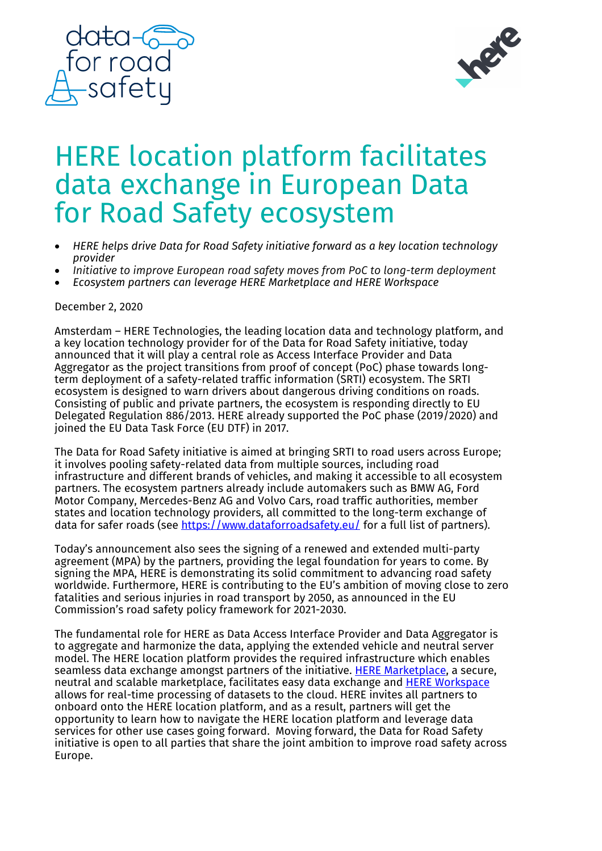



## HERE location platform facilitates data exchange in European Data for Road Safety ecosystem

- *HERE helps drive Data for Road Safety initiative forward as a key location technology provider*
- *Initiative to improve European road safety moves from PoC to long-term deployment*
- *Ecosystem partners can leverage HERE Marketplace and HERE Workspace*

## December 2, 2020

Amsterdam – HERE Technologies, the leading location data and technology platform, and a key location technology provider for of the Data for Road Safety initiative, today announced that it will play a central role as Access Interface Provider and Data Aggregator as the project transitions from proof of concept (PoC) phase towards longterm deployment of a safety-related traffic information (SRTI) ecosystem. The SRTI ecosystem is designed to warn drivers about dangerous driving conditions on roads. Consisting of public and private partners, the ecosystem is responding directly to EU Delegated Regulation 886/2013. HERE already supported the PoC phase (2019/2020) and joined the EU Data Task Force (EU DTF) in 2017.

The Data for Road Safety initiative is aimed at bringing SRTI to road users across Europe; it involves pooling safety-related data from multiple sources, including road infrastructure and different brands of vehicles, and making it accessible to all ecosystem partners. The ecosystem partners already include automakers such as BMW AG, Ford Motor Company, Mercedes-Benz AG and Volvo Cars, road traffic authorities, member states and location technology providers, all committed to the long-term exchange of data for safer roads (see https://www.dataforroadsafety.eu/ for a full list of partners).

Today's announcement also sees the signing of a renewed and extended multi-party agreement (MPA) by the partners, providing the legal foundation for years to come. By signing the MPA, HERE is demonstrating its solid commitment to advancing road safety worldwide. Furthermore, HERE is contributing to the EU's ambition of moving close to zero fatalities and serious injuries in road transport by 2050, as announced in the EU Commission's road safety policy framework for 2021-2030.

The fundamental role for HERE as Data Access Interface Provider and Data Aggregator is to aggregate and harmonize the data, applying the extended vehicle and neutral server model. The HERE location platform provides the required infrastructure which enables seamless data exchange amongst partners of the initiative. HERE Marketplace, a secure, neutral and scalable marketplace, facilitates easy data exchange and HERE Workspace allows for real-time processing of datasets to the cloud. HERE invites all partners to onboard onto the HERE location platform, and as a result, partners will get the opportunity to learn how to navigate the HERE location platform and leverage data services for other use cases going forward. Moving forward, the Data for Road Safety initiative is open to all parties that share the joint ambition to improve road safety across Europe.